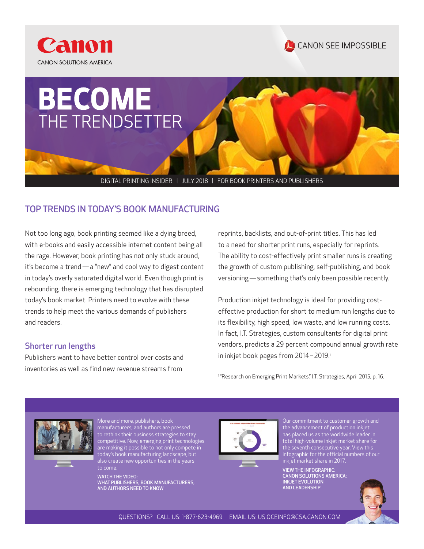





DIGITAL PRINTING INSIDER | JULY 2018 | FOR BOOK PRINTERS AND PUBLISHERS

## TOP TRENDS IN TODAY'S BOOK MANUFACTURING

Not too long ago, book printing seemed like a dying breed, with e-books and easily accessible internet content being all the rage. However, book printing has not only stuck around, it's become a trend — a "new" and cool way to digest content in today's overly saturated digital world. Even though print is rebounding, there is emerging technology that has disrupted today's book market. Printers need to evolve with these trends to help meet the various demands of publishers and readers.

### Shorter run lengths

Publishers want to have better control over costs and inventories as well as find new revenue streams from

reprints, backlists, and out-of-print titles. This has led to a need for shorter print runs, especially for reprints. The ability to cost-effectively print smaller runs is creating the growth of custom publishing, self-publishing, and book versioning — something that's only been possible recently.

Production inkjet technology is ideal for providing costeffective production for short to medium run lengths due to its flexibility, high speed, low waste, and low running costs. In fact, I.T. Strategies, custom consultants for digital print vendors, predicts a 29 percent compound annual growth rate in inkjet book pages from 2014 - 2019.<sup>1</sup>

<sup>1</sup> "Research on Emerging Print Markets," I.T. Strategies, April 2015, p. 16.



More and more, publishers, book manufacturers, and authors are pressed to rethink their business strategies to stay [competitive. Now, emerging print technologies](http://pps.csa.canon.com/resources/what-publishers-book-manufacturers-and-authors-need-to-know-video?button_redirect=APP%20Books-REG&event_label=APP%20Books-REG)  are making it possible to not only compete in today's book manufacturing landscape, but also create new opportunities in the years to come.

WATCH THE VIDEO: WHAT PUBLISHERS, BOOK MANUFACTURERS, AND AUTHORS NEED TO KNOW



Our commitment to customer growth and the advancement of production inkjet has placed us as the worldwide leader in total high-volume inkjet market share for the seventh consecutive year. View this [infographic for the official numbers of our](https://pps.csa.canon.com/resources/canon-solutions-america-inkjet-evolution-and-leadership-infographic)  inkjet market share in 2017.

VIEW THE INFOGRAPHIC: CANON SOLUTIONS AMERICA: INKJET EVOLUTION AND LEADERSHIP

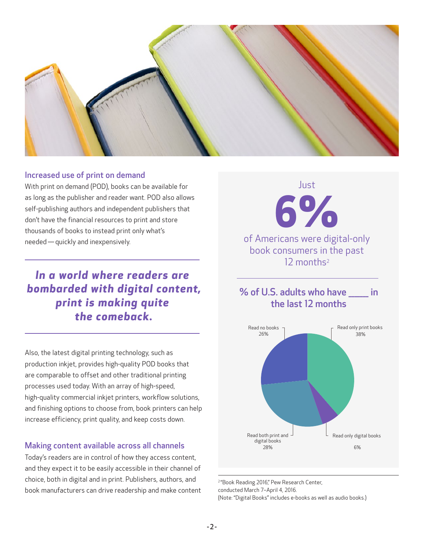

### Increased use of print on demand

With print on demand (POD), books can be available for as long as the publisher and reader want. POD also allows self-publishing authors and independent publishers that don't have the financial resources to print and store thousands of books to instead print only what's needed — quickly and inexpensively.

# *In a world where readers are bombarded with digital content, print is making quite the comeback.*

Also, the latest digital printing technology, such as production inkjet, provides high-quality POD books that are comparable to offset and other traditional printing processes used today. With an array of high-speed, high-quality commercial inkjet printers, workflow solutions, and finishing options to choose from, book printers can help increase efficiency, print quality, and keep costs down.

### Making content available across all channels

Today's readers are in control of how they access content, and they expect it to be easily accessible in their channel of choice, both in digital and in print. Publishers, authors, and book manufacturers can drive readership and make content

**6%**  of Americans were digital-only book consumers in the past 12 months<sup>2</sup>

Just

## % of U.S. adults who have \_\_\_\_\_\_\_ in the last 12 months



<sup>2</sup>"Book Reading 2016," Pew Research Center, conducted March 7–April 4, 2016. (Note: "Digital Books" includes e-books as well as audio books.)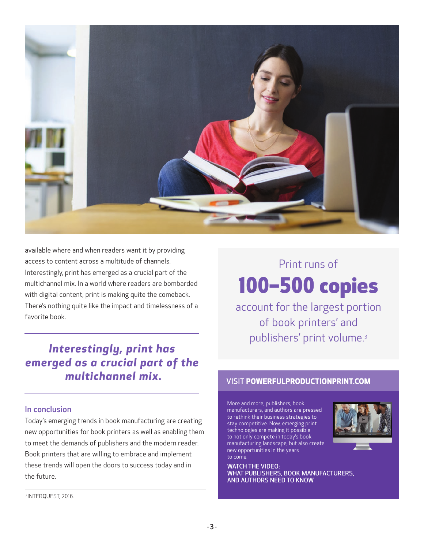

available where and when readers want it by providing access to content across a multitude of channels. Interestingly, print has emerged as a crucial part of the multichannel mix. In a world where readers are bombarded with digital content, print is making quite the comeback. There's nothing quite like the impact and timelessness of a favorite book.

*Interestingly, print has emerged as a crucial part of the multichannel mix.*

### In conclusion

Today's emerging trends in book manufacturing are creating new opportunities for book printers as well as enabling them to meet the demands of publishers and the modern reader. Book printers that are willing to embrace and implement these trends will open the doors to success today and in the future.

#### 3 INTERQUEST, 2016.

# Print runs of 100–500 copies

account for the largest portion of book printers' and publishers' print volume.3

### **VISIT POWERFULPRODUCTIONPRINT.COM**

More and more, publishers, book manufacturers, and authors are pressed to rethink their business strategies to stay competitive. Now, emerging print technologies are making it possible to not only compete in today's book manufacturing landscape, but also create new opportunities in the years to come.



WATCH THE VIDEO: [WHAT PUBLISHERS, BOOK MANUFACTURERS,](http://pps.csa.canon.com/resources/what-publishers-book-manufacturers-and-authors-need-to-know-video?button_redirect=APP%20Books-REG&event_label=APP%20Books-REG)  AND AUTHORS NEED TO KNOW